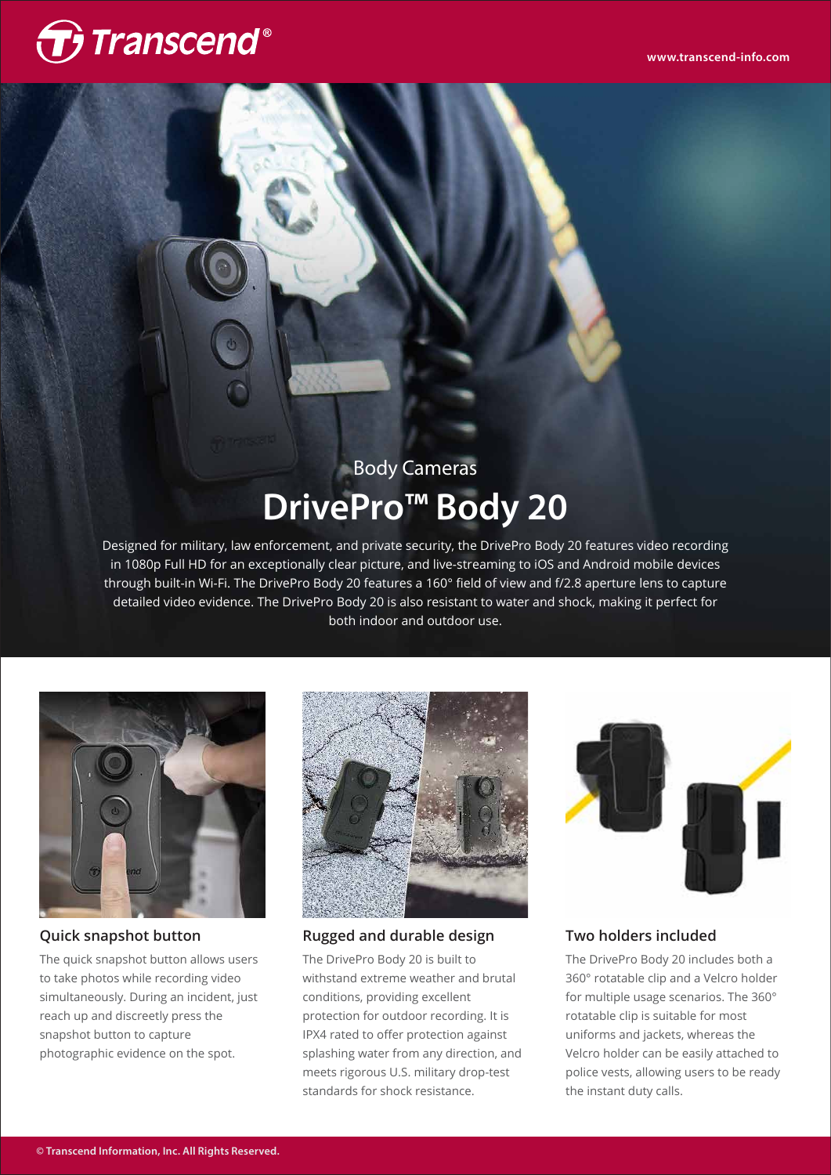

# Body Cameras **DrivePro™ Body 20**

Designed for military, law enforcement, and private security, the DrivePro Body 20 features video recording in 1080p Full HD for an exceptionally clear picture, and live-streaming to iOS and Android mobile devices through built-in Wi-Fi. The DrivePro Body 20 features a 160° field of view and f/2.8 aperture lens to capture detailed video evidence. The DrivePro Body 20 is also resistant to water and shock, making it perfect for both indoor and outdoor use.



### **Quick snapshot button**

The quick snapshot button allows users to take photos while recording video simultaneously. During an incident, just reach up and discreetly press the snapshot button to capture photographic evidence on the spot.



### **Rugged and durable design**

The DrivePro Body 20 is built to withstand extreme weather and brutal conditions, providing excellent protection for outdoor recording. It is IPX4 rated to offer protection against splashing water from any direction, and meets rigorous U.S. military drop-test standards for shock resistance.



### **Two holders included**

The DrivePro Body 20 includes both a 360° rotatable clip and a Velcro holder for multiple usage scenarios. The 360° rotatable clip is suitable for most uniforms and jackets, whereas the Velcro holder can be easily attached to police vests, allowing users to be ready the instant duty calls.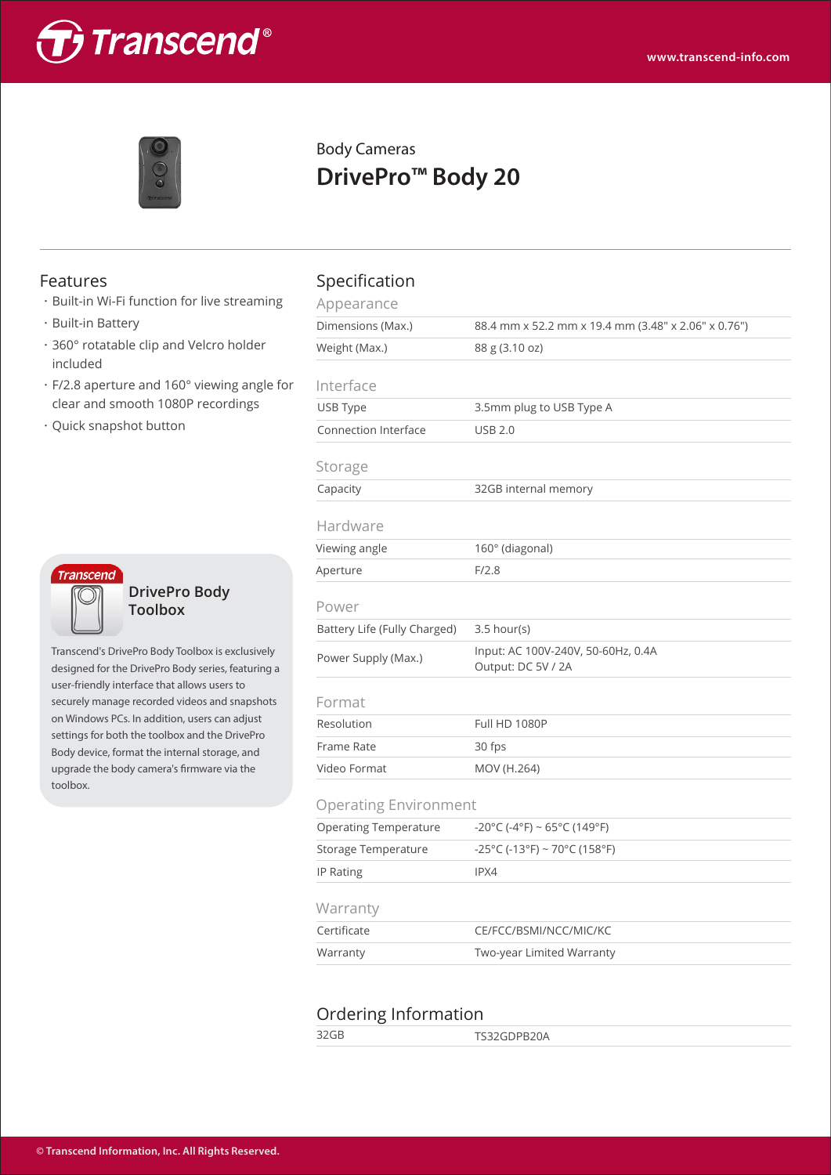



# Body Cameras **DrivePro™ Body 20**

toolbox.

- ・Built-in Wi-Fi function for live streaming
- ・Built-in Battery

Transcend

- ・360° rotatable clip and Velcro holder included
- ・F/2.8 aperture and 160° viewing angle for clear and smooth 1080P recordings

**DrivePro Body**

**Toolbox**

Transcend's DrivePro Body Toolbox is exclusively designed for the DrivePro Body series, featuring a user-friendly interface that allows users to securely manage recorded videos and snapshots on Windows PCs. In addition, users can adjust settings for both the toolbox and the DrivePro Body device, format the internal storage, and upgrade the body camera's firmware via the

・Quick snapshot button

# Features Specification

| <u>apochiodreni</u>          |                                                          |
|------------------------------|----------------------------------------------------------|
| Appearance                   |                                                          |
| Dimensions (Max.)            | 88.4 mm x 52.2 mm x 19.4 mm (3.48" x 2.06" x 0.76")      |
| Weight (Max.)                | 88 g (3.10 oz)                                           |
| Interface                    |                                                          |
| USB Type                     | 3.5mm plug to USB Type A                                 |
| Connection Interface         | <b>USB 2.0</b>                                           |
| Storage                      |                                                          |
| Capacity                     | 32GB internal memory                                     |
| Hardware                     |                                                          |
| Viewing angle                | 160° (diagonal)                                          |
| Aperture                     | F/2.8                                                    |
| Power                        |                                                          |
| Battery Life (Fully Charged) | $3.5$ hour(s)                                            |
| Power Supply (Max.)          | Input: AC 100V-240V, 50-60Hz, 0.4A<br>Output: DC 5V / 2A |
| Format                       |                                                          |
| Resolution                   | <b>Full HD 1080P</b>                                     |
| Frame Rate                   | 30 fps                                                   |
| Video Format                 | MOV (H.264)                                              |
| <b>Operating Environment</b> |                                                          |
| <b>Operating Temperature</b> | $-20^{\circ}$ C (-4°F) ~ 65°C (149°F)                    |
| <b>Storage Temperature</b>   | $-25^{\circ}$ C (-13°F) ~ 70°C (158°F)                   |
| IP Rating                    | IPX4                                                     |
|                              |                                                          |

### Warranty

| .           |                           |
|-------------|---------------------------|
| Certificate | CE/FCC/BSMI/NCC/MIC/KC    |
| Warranty    | Two-year Limited Warranty |

# Ordering Information

| 32GB | TS32GDPB20A |
|------|-------------|
|------|-------------|